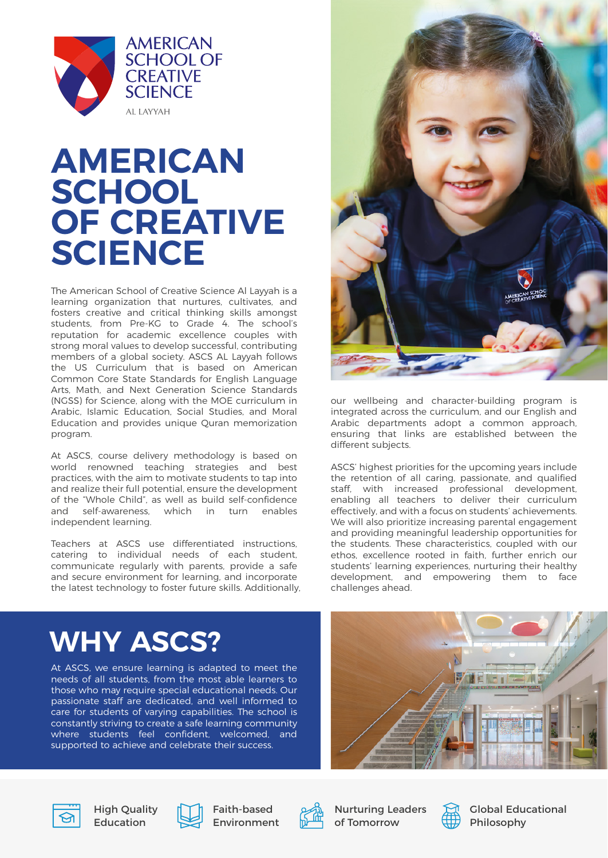

### **AMERICAN SCHOOL OF CREATIVE SCIENCE**

The American School of Creative Science Al Layyah is a learning organization that nurtures, cultivates, and fosters creative and critical thinking skills amongst students, from Pre-KG to Grade 4. The school's reputation for academic excellence couples with strong moral values to develop successful, contributing members of a global society. ASCS AL Layyah follows the US Curriculum that is based on American Common Core State Standards for English Language Arts, Math, and Next Generation Science Standards (NGSS) for Science, along with the MOE curriculum in Arabic, Islamic Education, Social Studies, and Moral Education and provides unique Quran memorization program.

At ASCS, course delivery methodology is based on world renowned teaching strategies and best practices, with the aim to motivate students to tap into and realize their full potential, ensure the development of the "Whole Child", as well as build self-confidence and self-awareness, which in turn enables independent learning.

Teachers at ASCS use differentiated instructions, catering to individual needs of each student, communicate regularly with parents, provide a safe and secure environment for learning, and incorporate the latest technology to foster future skills. Additionally,



our wellbeing and character-building program is integrated across the curriculum, and our English and Arabic departments adopt a common approach, ensuring that links are established between the different subjects.

ASCS' highest priorities for the upcoming years include the retention of all caring, passionate, and qualified staff, with increased professional development, enabling all teachers to deliver their curriculum effectively, and with a focus on students' achievements. We will also prioritize increasing parental engagement and providing meaningful leadership opportunities for the students. These characteristics, coupled with our ethos, excellence rooted in faith, further enrich our students' learning experiences, nurturing their healthy development, and empowering them to face challenges ahead.

### **WHY ASCS?**

At ASCS, we ensure learning is adapted to meet the needs of all students, from the most able learners to those who may require special educational needs. Our passionate staff are dedicated, and well informed to care for students of varying capabilities. The school is constantly striving to create a safe learning community where students feel confident, welcomed, and supported to achieve and celebrate their success.





**High Ouality** Education



Faith-based Environment



Nurturing Leaders of Tomorrow



Global Educational Philosophy